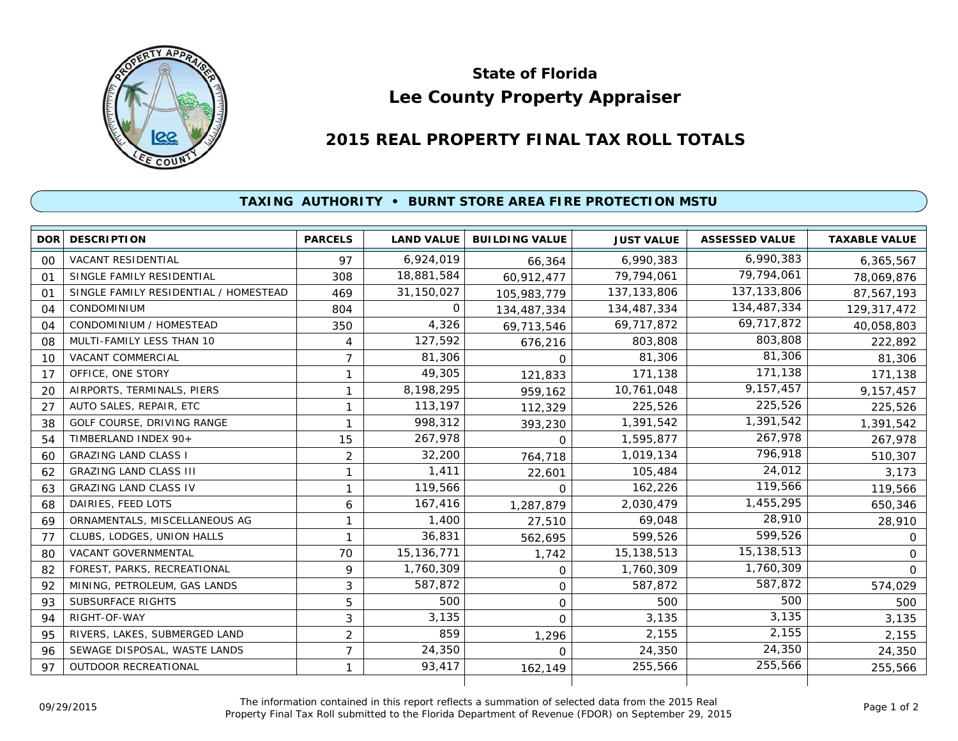

## **Lee County Property Appraiser State of Florida**

## **2015 REAL PROPERTY FINAL TAX ROLL TOTALS**

## **TAXING AUTHORITY • BURNT STORE AREA FIRE PROTECTION MSTU**

|    | <b>DOR DESCRIPTION</b>                | <b>PARCELS</b> | <b>LAND VALUE</b> | <b>BUILDING VALUE</b> | <b>JUST VALUE</b> | <b>ASSESSED VALUE</b> | <b>TAXABLE VALUE</b> |
|----|---------------------------------------|----------------|-------------------|-----------------------|-------------------|-----------------------|----------------------|
| 00 | <b>VACANT RESIDENTIAL</b>             | 97             | 6,924,019         | 66,364                | 6,990,383         | 6,990,383             | 6,365,567            |
| 01 | SINGLE FAMILY RESIDENTIAL             | 308            | 18,881,584        | 60,912,477            | 79,794,061        | 79,794,061            | 78,069,876           |
| 01 | SINGLE FAMILY RESIDENTIAL / HOMESTEAD | 469            | 31,150,027        | 105,983,779           | 137, 133, 806     | 137, 133, 806         | 87,567,193           |
| 04 | <b>CONDOMINIUM</b>                    | 804            | 0                 | 134,487,334           | 134,487,334       | 134,487,334           | 129,317,472          |
| 04 | CONDOMINIUM / HOMESTEAD               | 350            | 4,326             | 69,713,546            | 69,717,872        | 69,717,872            | 40,058,803           |
| 08 | MULTI-FAMILY LESS THAN 10             | 4              | 127,592           | 676,216               | 803,808           | 803,808               | 222,892              |
| 10 | <b>VACANT COMMERCIAL</b>              | 7              | 81,306            | $\Omega$              | 81,306            | 81,306                | 81,306               |
| 17 | OFFICE, ONE STORY                     | 1              | 49,305            | 121,833               | 171,138           | 171,138               | 171,138              |
| 20 | AIRPORTS, TERMINALS, PIERS            | 1              | 8,198,295         | 959,162               | 10,761,048        | 9,157,457             | 9,157,457            |
| 27 | AUTO SALES, REPAIR, ETC               | 1              | 113,197           | 112,329               | 225,526           | 225,526               | 225,526              |
| 38 | <b>GOLF COURSE, DRIVING RANGE</b>     | 1              | 998,312           | 393,230               | 1,391,542         | 1,391,542             | 1,391,542            |
| 54 | TIMBERLAND INDEX 90+                  | 15             | 267,978           | $\Omega$              | 1,595,877         | 267,978               | 267,978              |
| 60 | <b>GRAZING LAND CLASS I</b>           | $\overline{2}$ | 32,200            | 764,718               | 1,019,134         | 796,918               | 510,307              |
| 62 | <b>GRAZING LAND CLASS III</b>         | 1              | 1,411             | 22,601                | 105,484           | 24,012                | 3,173                |
| 63 | <b>GRAZING LAND CLASS IV</b>          | 1              | 119,566           | $\Omega$              | 162,226           | 119,566               | 119,566              |
| 68 | DAIRIES, FEED LOTS                    | 6              | 167,416           | 1,287,879             | 2,030,479         | 1,455,295             | 650,346              |
| 69 | ORNAMENTALS, MISCELLANEOUS AG         | 1              | 1,400             | 27,510                | 69,048            | 28,910                | 28,910               |
| 77 | CLUBS, LODGES, UNION HALLS            | 1              | 36,831            | 562,695               | 599,526           | 599,526               | $\Omega$             |
| 80 | <b>VACANT GOVERNMENTAL</b>            | 70             | 15,136,771        | 1,742                 | 15,138,513        | 15,138,513            | $\Omega$             |
| 82 | FOREST, PARKS, RECREATIONAL           | 9              | 1,760,309         | $\mathbf 0$           | 1,760,309         | 1,760,309             | $\Omega$             |
| 92 | MINING, PETROLEUM, GAS LANDS          | 3              | 587,872           | 0                     | 587,872           | 587,872               | 574,029              |
| 93 | <b>SUBSURFACE RIGHTS</b>              | 5              | 500               | $\mathbf 0$           | 500               | 500                   | 500                  |
| 94 | RIGHT-OF-WAY                          | 3              | 3,135             | $\Omega$              | 3,135             | 3,135                 | 3,135                |
| 95 | RIVERS, LAKES, SUBMERGED LAND         | $\overline{2}$ | 859               | 1,296                 | 2,155             | 2,155                 | 2,155                |
| 96 | SEWAGE DISPOSAL, WASTE LANDS          | $\overline{7}$ | 24,350            | $\Omega$              | 24,350            | 24,350                | 24,350               |
| 97 | OUTDOOR RECREATIONAL                  | 1              | 93,417            | 162,149               | 255,566           | 255,566               | 255,566              |
|    |                                       |                |                   |                       |                   |                       |                      |

The information contained in this report reflects a summation of selected data from the 2015 Real Ine information contained in this report reflects a summation of selected data from the 2015 Real<br>Property Final Tax Roll submitted to the Florida Department of Revenue (FDOR) on September 29, 2015